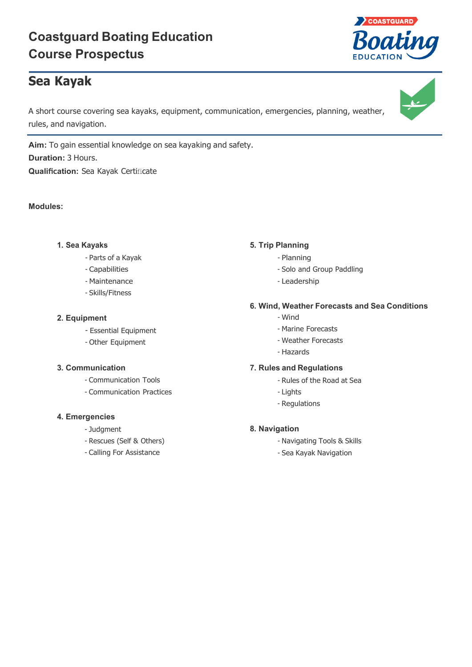# **Coastguard Boating Education Course Prospectus**

# **Sea Kayak**

A short course covering sea kayaks, equipment, communication, emergencies, planning, weather, rules, and navigation.

**Aim:** To gain essential knowledge on sea kayaking and safety. **Duration:** 3 Hours. **Qualification:** Sea Kayak Certificate

# **Modules:**

# **1. Sea Kayaks**

- Parts of a Kayak
- Capabilities
- Maintenance
- Skills/Fitness

# **2. Equipment**

- Essential Equipment
- Other Equipment

# **3. Communication**

- Communication Tools
- Communication Practices

#### **4. Emergencies**

- Judgment
- Rescues (Self & Others)
- Calling For Assistance

# **5. Trip Planning**

- Planning
- Solo and Group Paddling
- Leadership

# **6. Wind, Weather Forecasts and Sea Conditions**

- Wind
- Marine Forecasts
- Weather Forecasts
- Hazards

#### **7. Rules and Regulations**

- Rules of the Road at Sea
- Lights
- Regulations

# **8. Navigation**

- Navigating Tools & Skills
- Sea Kayak Navigation